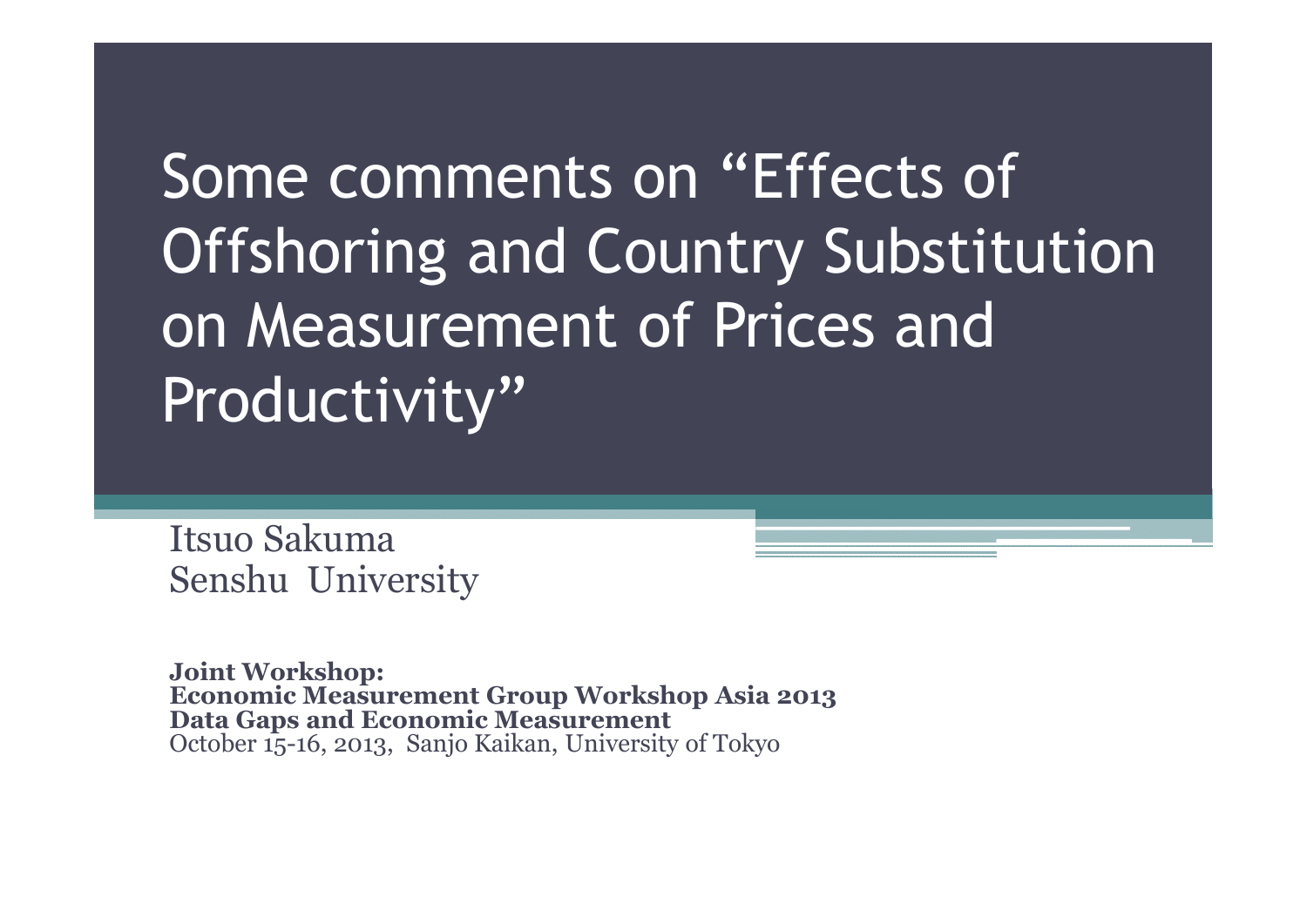Some comments on "Effects of Offshoring and Country Substitution on Measurement of Prices and Productivity"

Itsuo Sakuma Senshu University

**Joint Workshop: Economic Measurement Group Workshop Asia 2013 Data Gaps and Economic Measurement** October 15-16, 2013, Sanjo Kaikan, University of Tokyo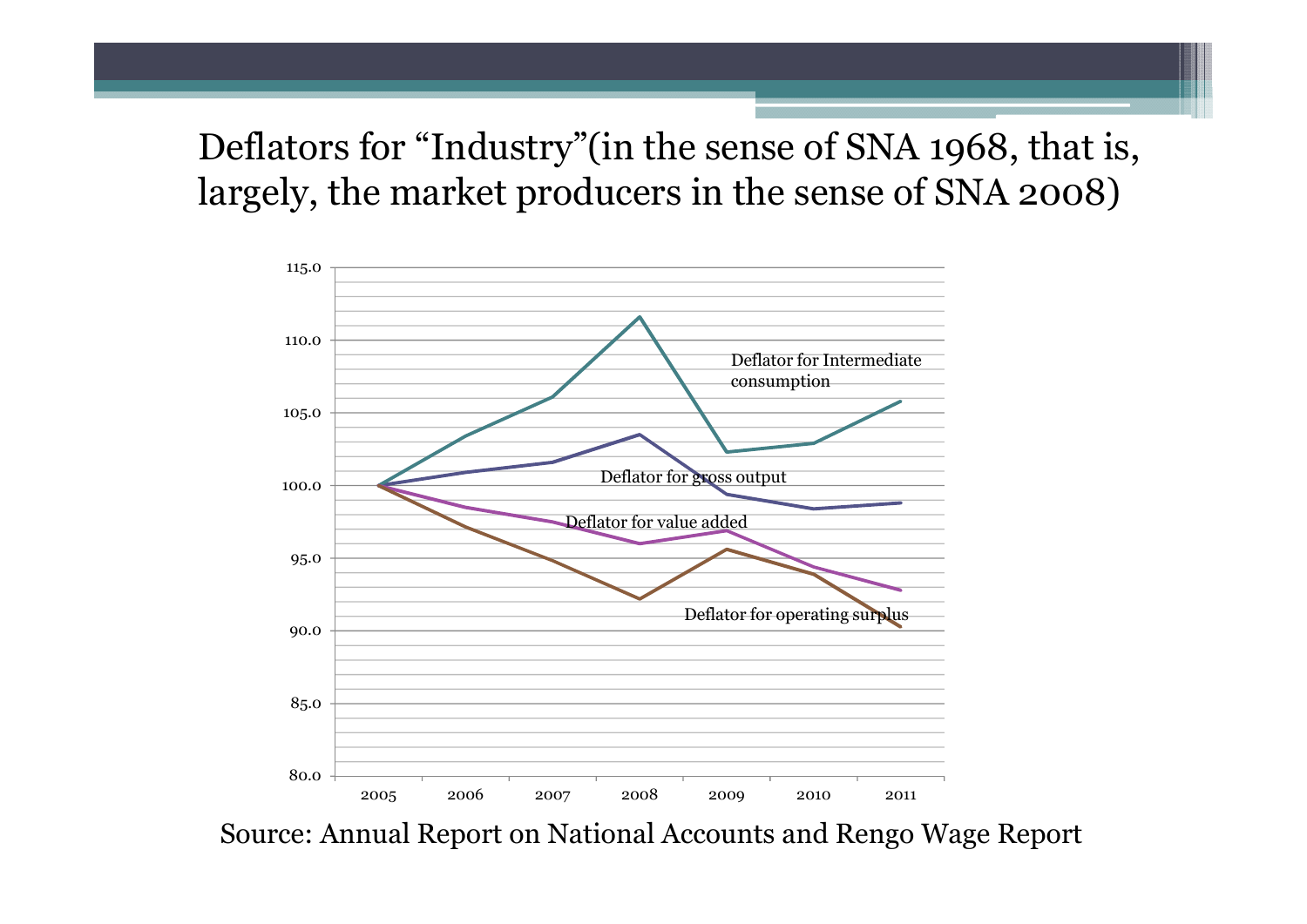Deflators for "Industry "(in the sense of SNA 1968, that is, largely, the market producers in the sense of SNA 2008)



Source: Annual Report on National Accounts and Rengo Wage Report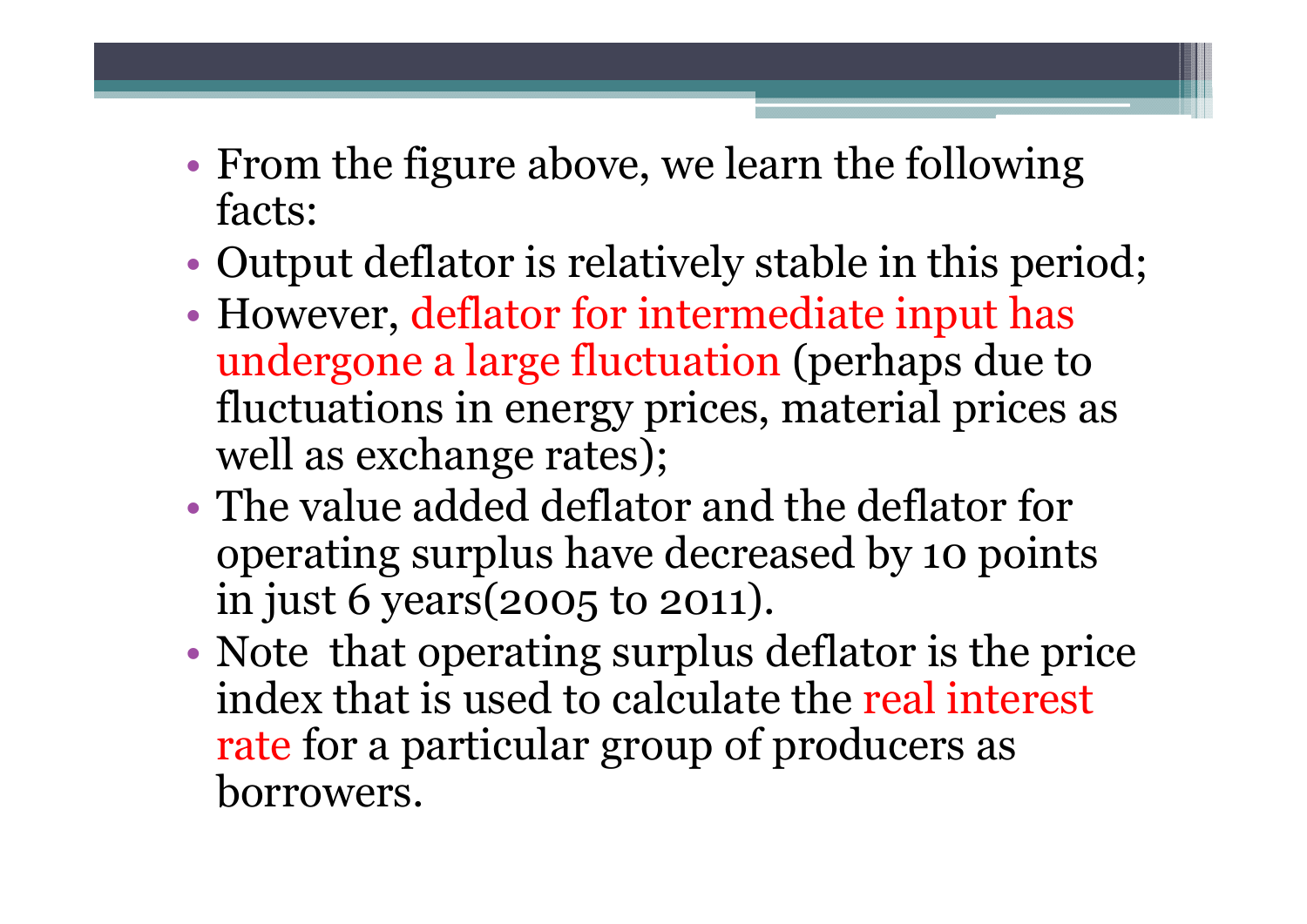- From the figure above, we learn the following facts:
- Output deflator is relatively stable in this period;
- However, deflator for intermediate input has undergone a large fluctuation (perhaps due to fluctuations in energy prices, material prices as well as exchange rates);
- The value added deflator and the deflator for operating surplus have decreased by 10 points in just 6 years(2005 to 2011).
- Note that operating surplus deflator is the price index that is used to calculate the real interest rate for a particular group of producers as borrowers.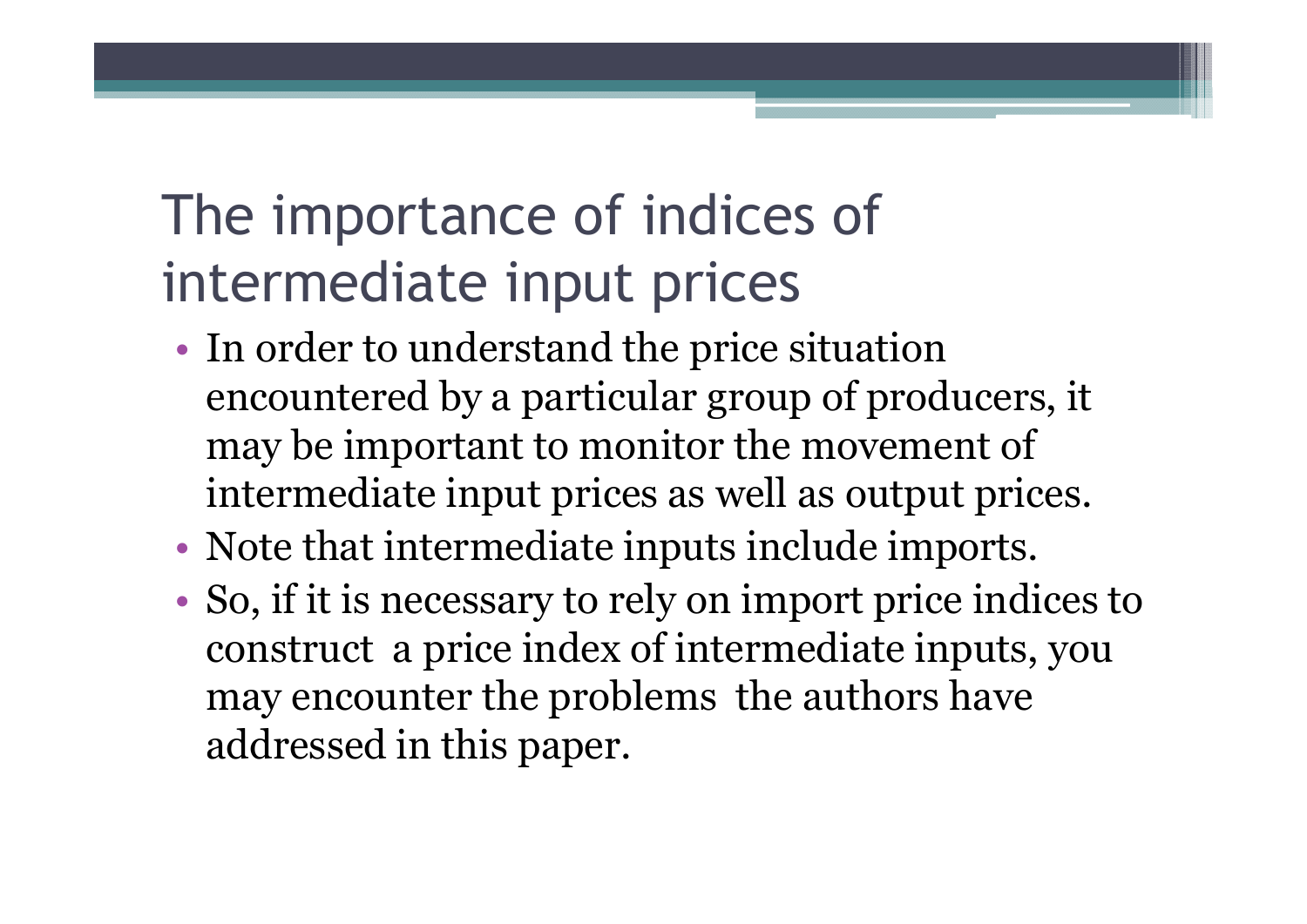#### The importance of indices of intermediate input prices

- In order to understand the price situation encountered by a particular group of producers, it may be important to monitor the movement of intermediate input prices as well as output prices.
- Note that intermediate inputs include imports.
- So, if it is necessary to rely on import price indices to construct a price index of intermediate inputs, you may encounter the problems the authors have addressed in this paper.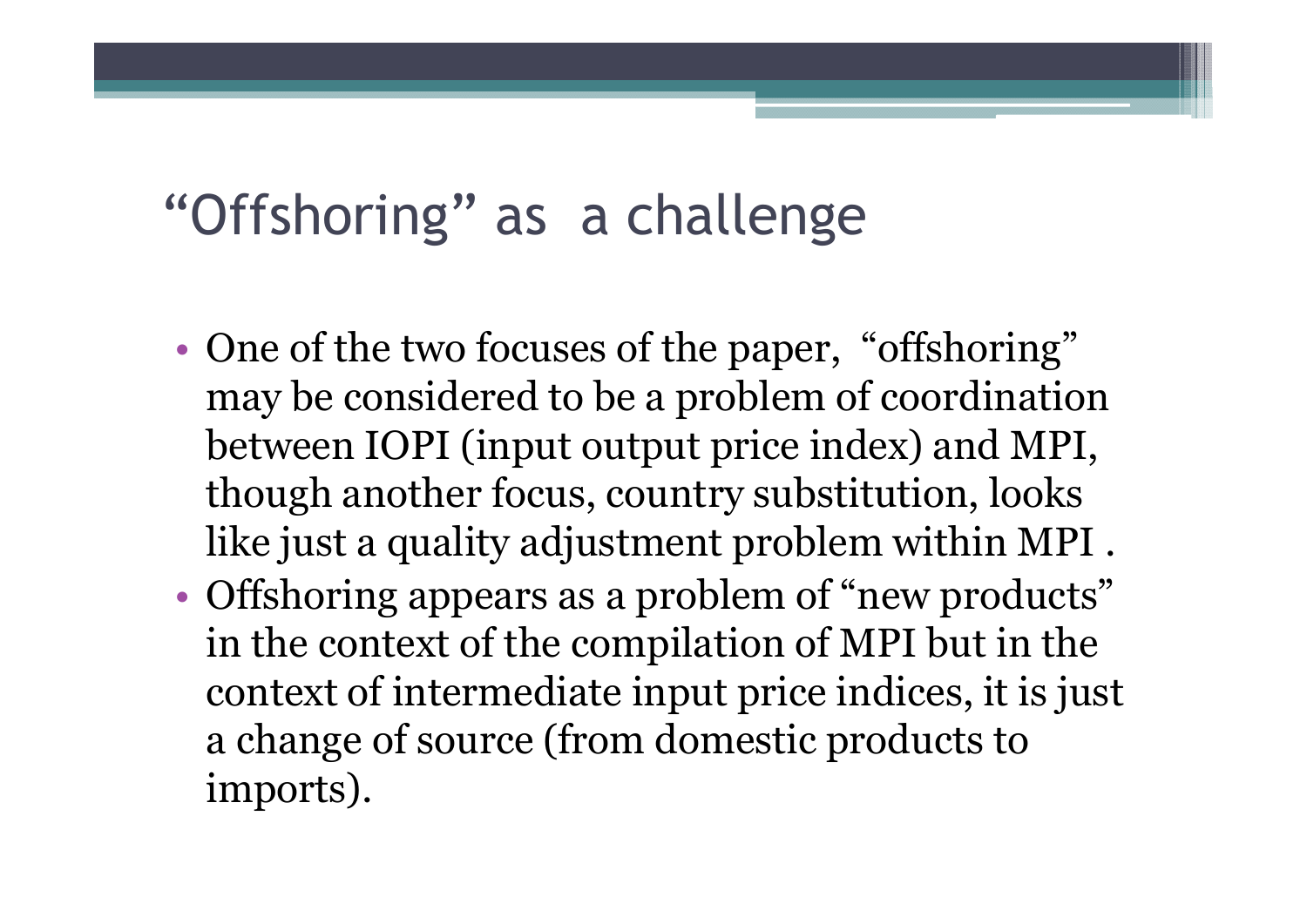#### "Offshoring" as a challenge

- One of the two focuses of the paper, "offshoring" may be considered to be a problem of coordination between IOPI (input output price index) and MPI, though another focus, country substitution, looks like just a quality adjustment problem within MPI .
- Offshoring appears as a problem of "new products" in the context of the compilation of MPI but in the context of intermediate input price indices, it is just a change of source (from domestic products to imports).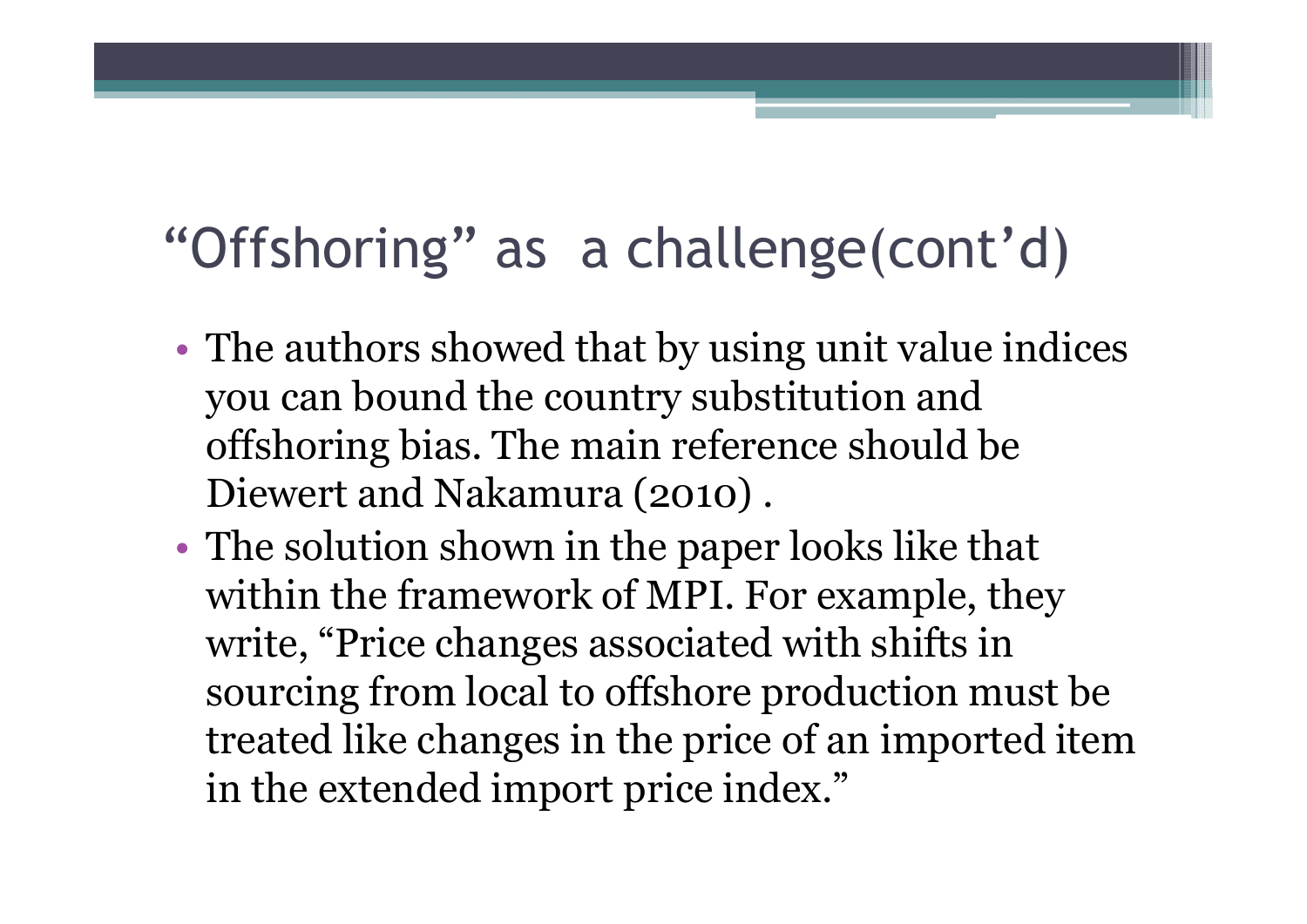#### "Offshoring" as a challenge(cont'd)

- The authors showed that by using unit value indices you can bound the country substitution and offshoring bias. The main reference should be Diewert and Nakamura (2010) .
- The solution shown in the paper looks like that within the framework of MPI. For example, they write, "Price changes associated with shifts in sourcing from local to offshore production must be treated like changes in the price of an imported item in the extended import price index."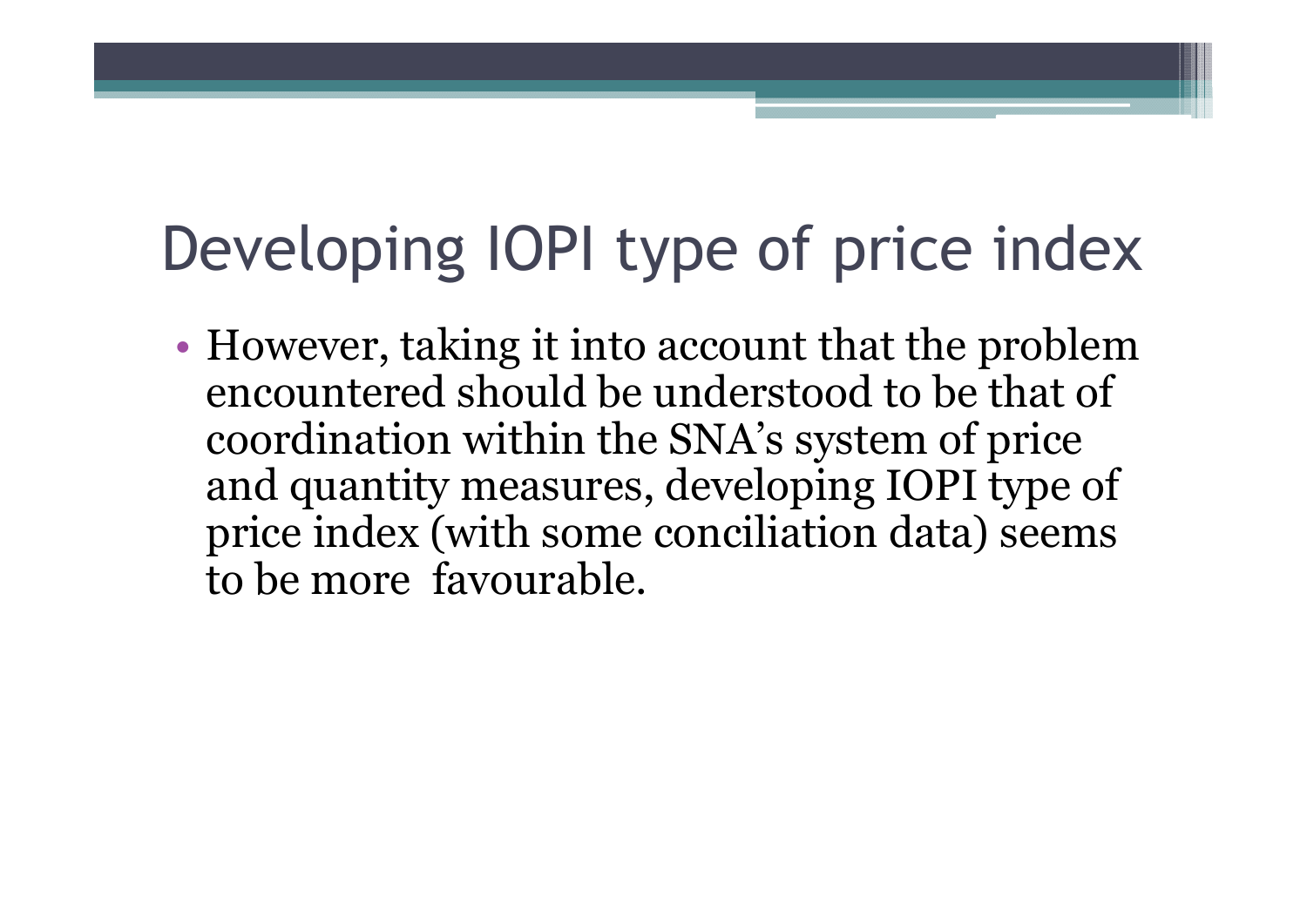# Developing IOPI type of price index

• However, taking it into account that the problem encountered should be understood to be that of coordination within the SNA's system of price and quantity measures, developing IOPI type of price index (with some conciliation data) seems to be more favourable.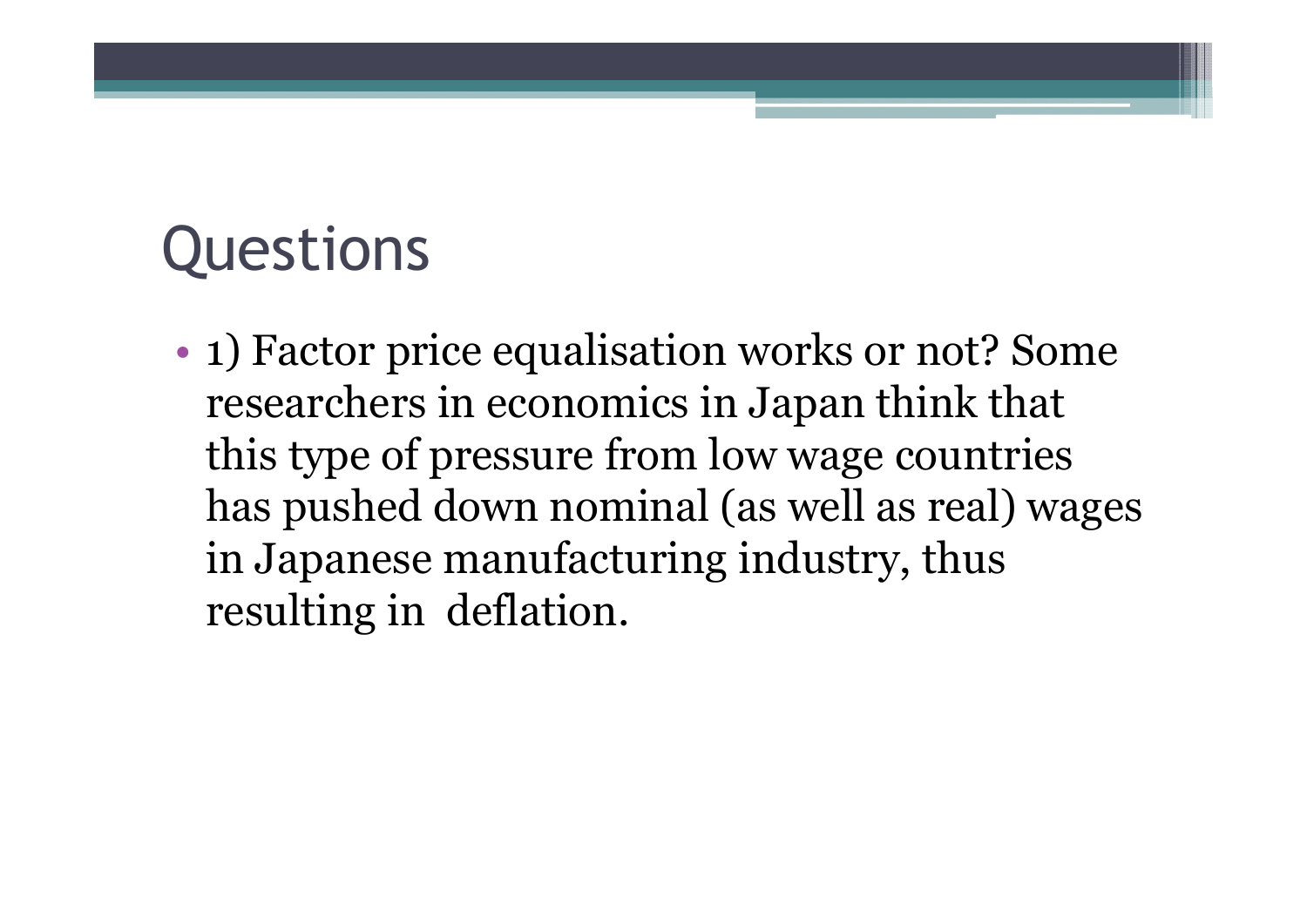## **Questions**

• 1) Factor price equalisation works or not? Some researchers in economics in Japan think that this type of pressure from low wage countries has pushed down nominal (as well as real) wages in Japanese manufacturing industry, thus resulting in deflation.